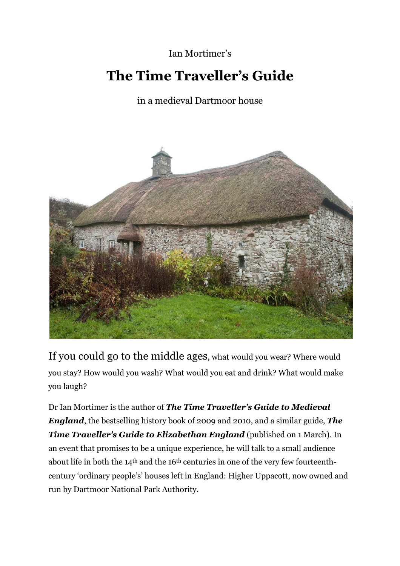## Ian Mortimer's

## **The Time Traveller's Guide**

## in a medieval Dartmoor house



If you could go to the middle ages, what would you wear? Where would you stay? How would you wash? What would you eat and drink? What would make you laugh?

Dr Ian Mortimer is the author of *The Time Traveller's Guide to Medieval England*, the bestselling history book of 2009 and 2010, and a similar guide, *The Time Traveller's Guide to Elizabethan England* (published on 1 March)*.* In an event that promises to be a unique experience, he will talk to a small audience about life in both the 14th and the 16th centuries in one of the very few fourteenthcentury 'ordinary people's' houses left in England: Higher Uppacott, now owned and run by Dartmoor National Park Authority.